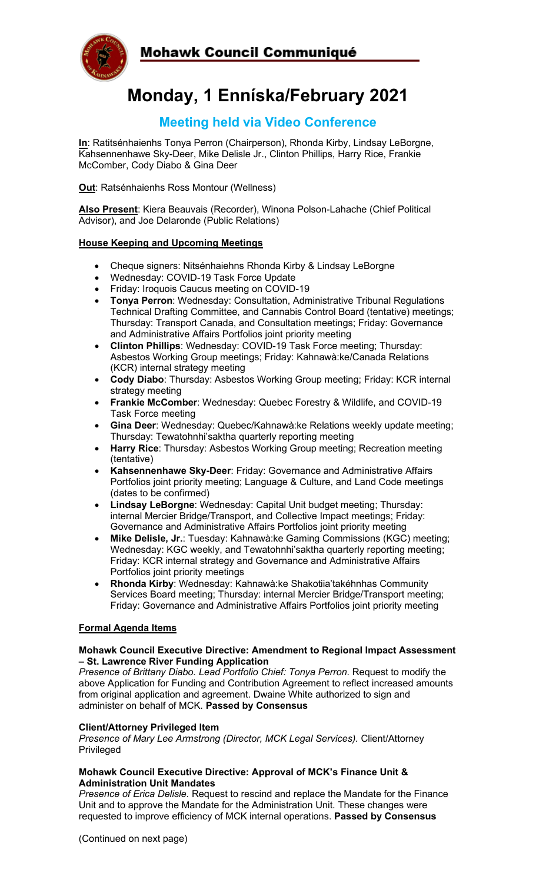

# **Monday, 1 Enníska/February 2021**

# **Meeting held via Video Conference**

**In**: Ratitsénhaienhs Tonya Perron (Chairperson), Rhonda Kirby, Lindsay LeBorgne, Kahsennenhawe Sky-Deer, Mike Delisle Jr., Clinton Phillips, Harry Rice, Frankie McComber, Cody Diabo & Gina Deer

**Out**: Ratsénhaienhs Ross Montour (Wellness)

**Also Present**: Kiera Beauvais (Recorder), Winona Polson-Lahache (Chief Political Advisor), and Joe Delaronde (Public Relations)

### **House Keeping and Upcoming Meetings**

- Cheque signers: Nitsénhaiehns Rhonda Kirby & Lindsay LeBorgne
- Wednesday: COVID-19 Task Force Update
- Friday: Iroquois Caucus meeting on COVID-19
- **Tonya Perron**: Wednesday: Consultation, Administrative Tribunal Regulations Technical Drafting Committee, and Cannabis Control Board (tentative) meetings; Thursday: Transport Canada, and Consultation meetings; Friday: Governance and Administrative Affairs Portfolios joint priority meeting
- **Clinton Phillips**: Wednesday: COVID-19 Task Force meeting; Thursday: Asbestos Working Group meetings; Friday: Kahnawà:ke/Canada Relations (KCR) internal strategy meeting
- **Cody Diabo**: Thursday: Asbestos Working Group meeting; Friday: KCR internal strategy meeting
- **Frankie McComber**: Wednesday: Quebec Forestry & Wildlife, and COVID-19 Task Force meeting
- **Gina Deer**: Wednesday: Quebec/Kahnawà:ke Relations weekly update meeting; Thursday: Tewatohnhi'saktha quarterly reporting meeting
- **Harry Rice**: Thursday: Asbestos Working Group meeting; Recreation meeting (tentative)
- **Kahsennenhawe Sky-Deer**: Friday: Governance and Administrative Affairs Portfolios joint priority meeting; Language & Culture, and Land Code meetings (dates to be confirmed)
- **Lindsay LeBorgne**: Wednesday: Capital Unit budget meeting; Thursday: internal Mercier Bridge/Transport, and Collective Impact meetings; Friday: Governance and Administrative Affairs Portfolios joint priority meeting
- **Mike Delisle, Jr.**: Tuesday: Kahnawà:ke Gaming Commissions (KGC) meeting; Wednesday: KGC weekly, and Tewatohnhi'saktha quarterly reporting meeting; Friday: KCR internal strategy and Governance and Administrative Affairs Portfolios joint priority meetings
- **Rhonda Kirby**: Wednesday: Kahnawà:ke Shakotiia'takéhnhas Community Services Board meeting; Thursday: internal Mercier Bridge/Transport meeting; Friday: Governance and Administrative Affairs Portfolios joint priority meeting

#### **Formal Agenda Items**

#### **Mohawk Council Executive Directive: Amendment to Regional Impact Assessment – St. Lawrence River Funding Application**

Presence of Brittany Diabo. Lead Portfolio Chief: Tonya Perron. Request to modify the above Application for Funding and Contribution Agreement to reflect increased amounts from original application and agreement. Dwaine White authorized to sign and administer on behalf of MCK. **Passed by Consensus**

#### **Client/Attorney Privileged Item**

*Presence of Mary Lee Armstrong (Director, MCK Legal Services).* Client/Attorney Privileged

#### **Mohawk Council Executive Directive: Approval of MCK's Finance Unit & Administration Unit Mandates**

*Presence of Erica Delisle.* Request to rescind and replace the Mandate for the Finance Unit and to approve the Mandate for the Administration Unit. These changes were requested to improve efficiency of MCK internal operations. **Passed by Consensus**